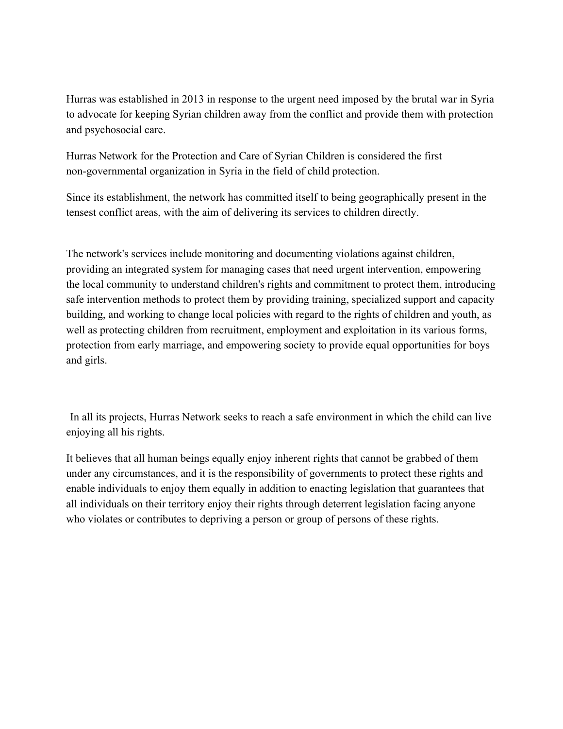Hurras was established in 2013 in response to the urgent need imposed by the brutal war in Syria to advocate for keeping Syrian children away from the conflict and provide them with protection and psychosocial care.

Hurras Network for the Protection and Care of Syrian Children is considered the first non-governmental organization in Syria in the field of child protection.

Since its establishment, the network has committed itself to being geographically present in the tensest conflict areas, with the aim of delivering its services to children directly.

The network's services include monitoring and documenting violations against children, providing an integrated system for managing cases that need urgent intervention, empowering the local community to understand children's rights and commitment to protect them, introducing safe intervention methods to protect them by providing training, specialized support and capacity building, and working to change local policies with regard to the rights of children and youth, as well as protecting children from recruitment, employment and exploitation in its various forms, protection from early marriage, and empowering society to provide equal opportunities for boys and girls.

In all its projects, Hurras Network seeks to reach a safe environment in which the child can live enjoying all his rights.

It believes that all human beings equally enjoy inherent rights that cannot be grabbed of them under any circumstances, and it is the responsibility of governments to protect these rights and enable individuals to enjoy them equally in addition to enacting legislation that guarantees that all individuals on their territory enjoy their rights through deterrent legislation facing anyone who violates or contributes to depriving a person or group of persons of these rights.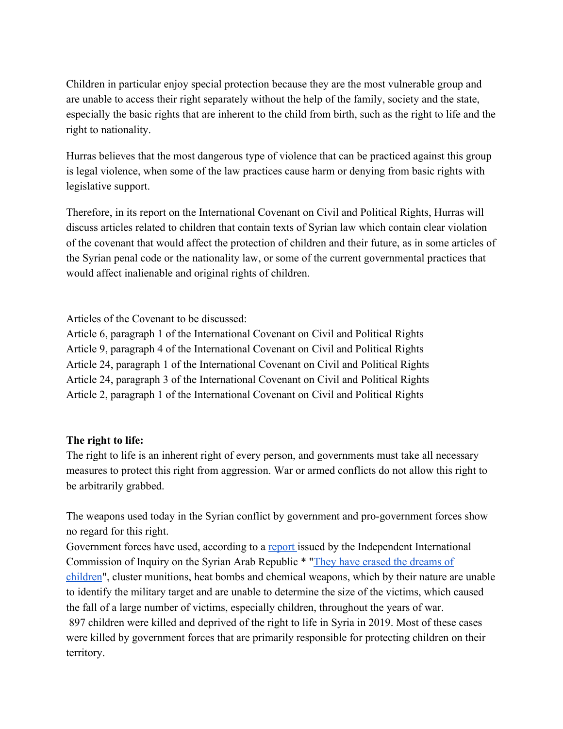Children in particular enjoy special protection because they are the most vulnerable group and are unable to access their right separately without the help of the family, society and the state, especially the basic rights that are inherent to the child from birth, such as the right to life and the right to nationality.

Hurras believes that the most dangerous type of violence that can be practiced against this group is legal violence, when some of the law practices cause harm or denying from basic rights with legislative support.

Therefore, in its report on the International Covenant on Civil and Political Rights, Hurras will discuss articles related to children that contain texts of Syrian law which contain clear violation of the covenant that would affect the protection of children and their future, as in some articles of the Syrian penal code or the nationality law, or some of the current governmental practices that would affect inalienable and original rights of children.

Articles of the Covenant to be discussed:

Article 6, paragraph 1 of the International Covenant on Civil and Political Rights Article 9, paragraph 4 of the International Covenant on Civil and Political Rights Article 24, paragraph 1 of the International Covenant on Civil and Political Rights Article 24, paragraph 3 of the International Covenant on Civil and Political Rights Article 2, paragraph 1 of the International Covenant on Civil and Political Rights

## **The right to life:**

The right to life is an inherent right of every person, and governments must take all necessary measures to protect this right from aggression. War or armed conflicts do not allow this right to be arbitrarily grabbed.

The weapons used today in the Syrian conflict by government and pro-government forces show no regard for this right.

Government forces have used, according to a [report](https://undocs.org/ar/S/2020/525) issued by the Independent International Commission of Inquiry on the Syrian Arab Republic \* ["They have erased the dreams of](https://news.un.org/ar/story/2020/01/1047282) [children](https://news.un.org/ar/story/2020/01/1047282)", cluster munitions, heat bombs and chemical weapons, which by their nature are unable to identify the military target and are unable to determine the size of the victims, which caused the fall of a large number of victims, especially children, throughout the years of war. 897 children were killed and deprived of the right to life in Syria in 2019. Most of these cases were killed by government forces that are primarily responsible for protecting children on their territory.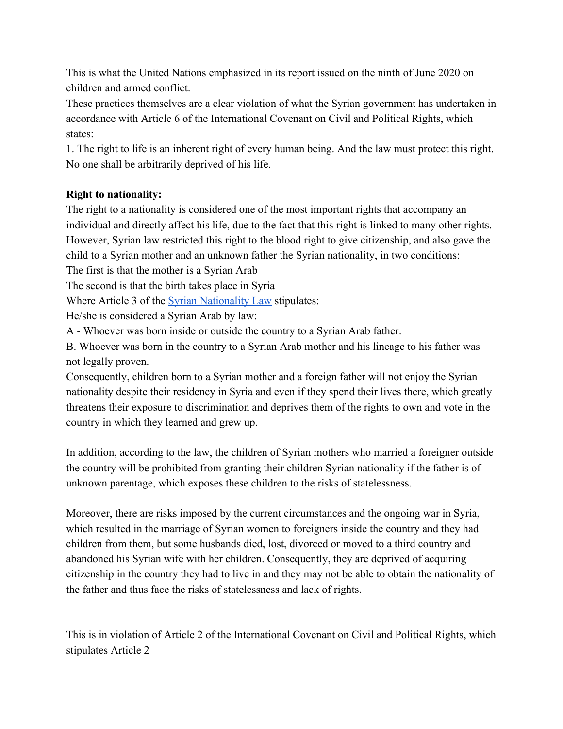This is what the United Nations emphasized in its report issued on the ninth of June 2020 on children and armed conflict.

These practices themselves are a clear violation of what the Syrian government has undertaken in accordance with Article 6 of the International Covenant on Civil and Political Rights, which states:

1. The right to life is an inherent right of every human being. And the law must protect this right. No one shall be arbitrarily deprived of his life.

# **Right to nationality:**

The right to a nationality is considered one of the most important rights that accompany an individual and directly affect his life, due to the fact that this right is linked to many other rights. However, Syrian law restricted this right to the blood right to give citizenship, and also gave the child to a Syrian mother and an unknown father the Syrian nationality, in two conditions:

The first is that the mother is a Syrian Arab

The second is that the birth takes place in Syria

Where Article 3 of the **Syrian Nationality Law** stipulates:

He/she is considered a Syrian Arab by law:

A - Whoever was born inside or outside the country to a Syrian Arab father.

B. Whoever was born in the country to a Syrian Arab mother and his lineage to his father was not legally proven.

Consequently, children born to a Syrian mother and a foreign father will not enjoy the Syrian nationality despite their residency in Syria and even if they spend their lives there, which greatly threatens their exposure to discrimination and deprives them of the rights to own and vote in the country in which they learned and grew up.

In addition, according to the law, the children of Syrian mothers who married a foreigner outside the country will be prohibited from granting their children Syrian nationality if the father is of unknown parentage, which exposes these children to the risks of statelessness.

Moreover, there are risks imposed by the current circumstances and the ongoing war in Syria, which resulted in the marriage of Syrian women to foreigners inside the country and they had children from them, but some husbands died, lost, divorced or moved to a third country and abandoned his Syrian wife with her children. Consequently, they are deprived of acquiring citizenship in the country they had to live in and they may not be able to obtain the nationality of the father and thus face the risks of statelessness and lack of rights.

This is in violation of Article 2 of the International Covenant on Civil and Political Rights, which stipulates Article 2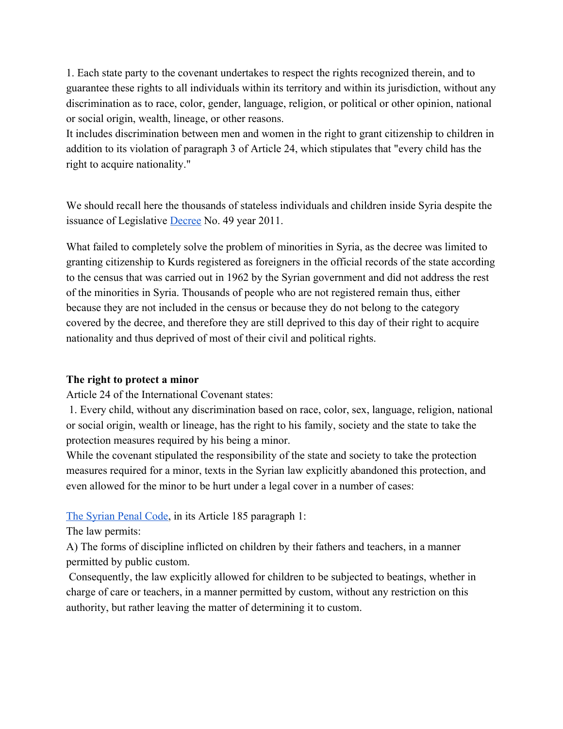1. Each state party to the covenant undertakes to respect the rights recognized therein, and to guarantee these rights to all individuals within its territory and within its jurisdiction, without any discrimination as to race, color, gender, language, religion, or political or other opinion, national or social origin, wealth, lineage, or other reasons.

It includes discrimination between men and women in the right to grant citizenship to children in addition to its violation of paragraph 3 of Article 24, which stipulates that "every child has the right to acquire nationality."

We should recall here the thousands of stateless individuals and children inside Syria despite the issuance of Legislative [Decree](http://parliament.gov.sy/arabic/index.php?node=201&nid=4451&RID=-1&Last=10058&First=0&CurrentPage=12&Vld=-1&Mode=&Service=-1&Loc1=&Key1=&SDate=&EDate=&Year=&Country=&Num=&Dep=-1&) No. 49 year 2011.

What failed to completely solve the problem of minorities in Syria, as the decree was limited to granting citizenship to Kurds registered as foreigners in the official records of the state according to the census that was carried out in 1962 by the Syrian government and did not address the rest of the minorities in Syria. Thousands of people who are not registered remain thus, either because they are not included in the census or because they do not belong to the category covered by the decree, and therefore they are still deprived to this day of their right to acquire nationality and thus deprived of most of their civil and political rights.

## **The right to protect a minor**

Article 24 of the International Covenant states:

 1. Every child, without any discrimination based on race, color, sex, language, religion, national or social origin, wealth or lineage, has the right to his family, society and the state to take the protection measures required by his being a minor.

While the covenant stipulated the responsibility of the state and society to take the protection measures required for a minor, texts in the Syrian law explicitly abandoned this protection, and even allowed for the minor to be hurt under a legal cover in a number of cases:

## [The Syrian Penal Code,](https://www.wipo.int/edocs/lexdocs/laws/ar/sy/sy013ar.pdf) in its Article 185 paragraph 1:

The law permits:

A) The forms of discipline inflicted on children by their fathers and teachers, in a manner permitted by public custom.

 Consequently, the law explicitly allowed for children to be subjected to beatings, whether in charge of care or teachers, in a manner permitted by custom, without any restriction on this authority, but rather leaving the matter of determining it to custom.